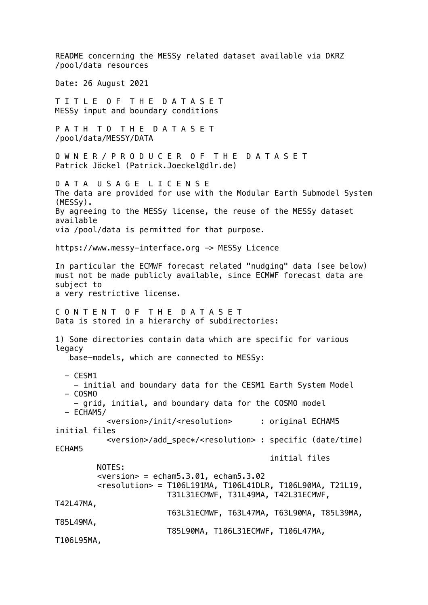README concerning the MESSy related dataset available via DKRZ /pool/data resources Date: 26 August 2021 T I T L E O F T H E D A T A S E T MESSy input and boundary conditions P A T H T O T H E D A T A S E T /pool/data/MESSY/DATA O W N E R / P R O D U C E R O F T H E D A T A S E T Patrick Jöckel (Patrick.Joeckel@dlr.de) D A T A U S A G E L I C E N S E The data are provided for use with the Modular Earth Submodel System (MESSy). By agreeing to the MESSy license, the reuse of the MESSy dataset available via /pool/data is permitted for that purpose. https://www.messy-interface.org -> MESSy Licence In particular the ECMWF forecast related "nudging" data (see below) must not be made publicly available, since ECMWF forecast data are subject to a very restrictive license. C O N T E N T O F T H E D A T A S E T Data is stored in a hierarchy of subdirectories: 1) Some directories contain data which are specific for various legacy base-models, which are connected to MESSy: - CESM1 - initial and boundary data for the CESM1 Earth System Model - COSMO - grid, initial, and boundary data for the COSMO model - ECHAM5/ <version>/init/<resolution> : original ECHAM5 initial files <version>/add\_spec\*/<resolution> : specific (date/time) ECHAM5 initial files NOTES:  $\epsilon$ version > = echam5.3.01, echam5.3.02 <resolution> = T106L191MA, T106L41DLR, T106L90MA, T21L19, T31L31ECMWF, T31L49MA, T42L31ECMWF, T42L47MA, T63L31ECMWF, T63L47MA, T63L90MA, T85L39MA, T85L49MA, T85L90MA, T106L31ECMWF, T106L47MA, T106L95MA,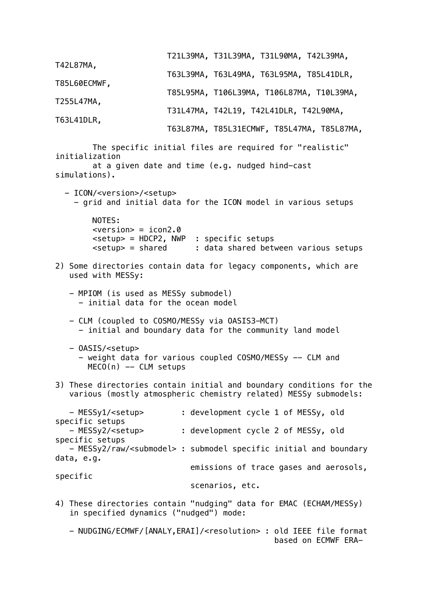|              | T21L39MA, T31L39MA, T31L90MA, T42L39MA,   |                                            |
|--------------|-------------------------------------------|--------------------------------------------|
| T42L87MA,    | T63L39MA, T63L49MA, T63L95MA, T85L41DLR,  |                                            |
| T85L60ECMWF, | T85L95MA, T106L39MA, T106L87MA, T10L39MA, |                                            |
| T255L47MA,   | T31L47MA, T42L19, T42L41DLR, T42L90MA,    |                                            |
| T63L41DLR,   |                                           | T63L87MA, T85L31ECMWF, T85L47MA, T85L87MA, |

The specific initial files are required for "realistic" initialization at a given date and time (e.g. nudged hind-cast simulations). - ICON/<version>/<setup> - grid and initial data for the ICON model in various setups NOTES:

> $\langle \text{version} \rangle = i \text{con2.0}$ <setup> = HDCP2, NWP : specific setups  $\epsilon$ setup> = shared : data shared between various setups

- 2) Some directories contain data for legacy components, which are used with MESSy:
	- MPIOM (is used as MESSy submodel) - initial data for the ocean model
	- CLM (coupled to COSMO/MESSy via OASIS3-MCT) - initial and boundary data for the community land model
	- OASIS/<setup> - weight data for various coupled COSMO/MESSy -- CLM and  $MECO(n)$  -- CLM setups
- 3) These directories contain initial and boundary conditions for the various (mostly atmospheric chemistry related) MESSy submodels:

 - MESSy1/<setup> : development cycle 1 of MESSy, old specific setups - MESSy2/<setup> : development cycle 2 of MESSy, old specific setups - MESSy2/raw/<submodel> : submodel specific initial and boundary data, e.g. emissions of trace gases and aerosols, specific scenarios, etc.

4) These directories contain "nudging" data for EMAC (ECHAM/MESSy) in specified dynamics ("nudged") mode:

 - NUDGING/ECMWF/[ANALY,ERAI]/<resolution> : old IEEE file format based on ECMWF ERA-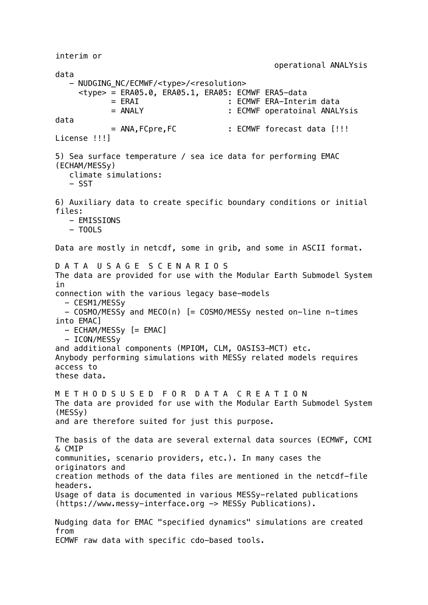interim or operational ANALYsis data - NUDGING NC/ECMWF/<type>/<resolution> <type> = ERA05.0, ERA05.1, ERA05: ECMWF ERA5-data = ERAI : ECMWF ERA-Interim data = ANALY : ECMWF operatoinal ANALYsis data  $=$  ANA, FCpre, FC : ECMWF forecast data  $[!!!]$ License !!!] 5) Sea surface temperature / sea ice data for performing EMAC (ECHAM/MESSy) climate simulations: - SST 6) Auxiliary data to create specific boundary conditions or initial files: - EMISSIONS  $-$  TOOLS Data are mostly in netcdf, some in grib, and some in ASCII format. D A T A U S A G E S C E N A R I O S The data are provided for use with the Modular Earth Submodel System in connection with the various legacy base-models - CESM1/MESSy - COSMO/MESSy and MECO(n) [= COSMO/MESSy nested on-line n-times into EMAC] - ECHAM/MESSy [= EMAC] - ICON/MESSy and additional components (MPIOM, CLM, OASIS3-MCT) etc. Anybody performing simulations with MESSy related models requires access to these data. M E T H O D S U S E D F O R D A T A C R E A T I O N The data are provided for use with the Modular Earth Submodel System (MESSy) and are therefore suited for just this purpose. The basis of the data are several external data sources (ECMWF, CCMI & CMIP communities, scenario providers, etc.). In many cases the originators and creation methods of the data files are mentioned in the netcdf-file headers. Usage of data is documented in various MESSy-related publications (https://www.messy-interface.org -> MESSy Publications). Nudging data for EMAC "specified dynamics" simulations are created from ECMWF raw data with specific cdo-based tools.